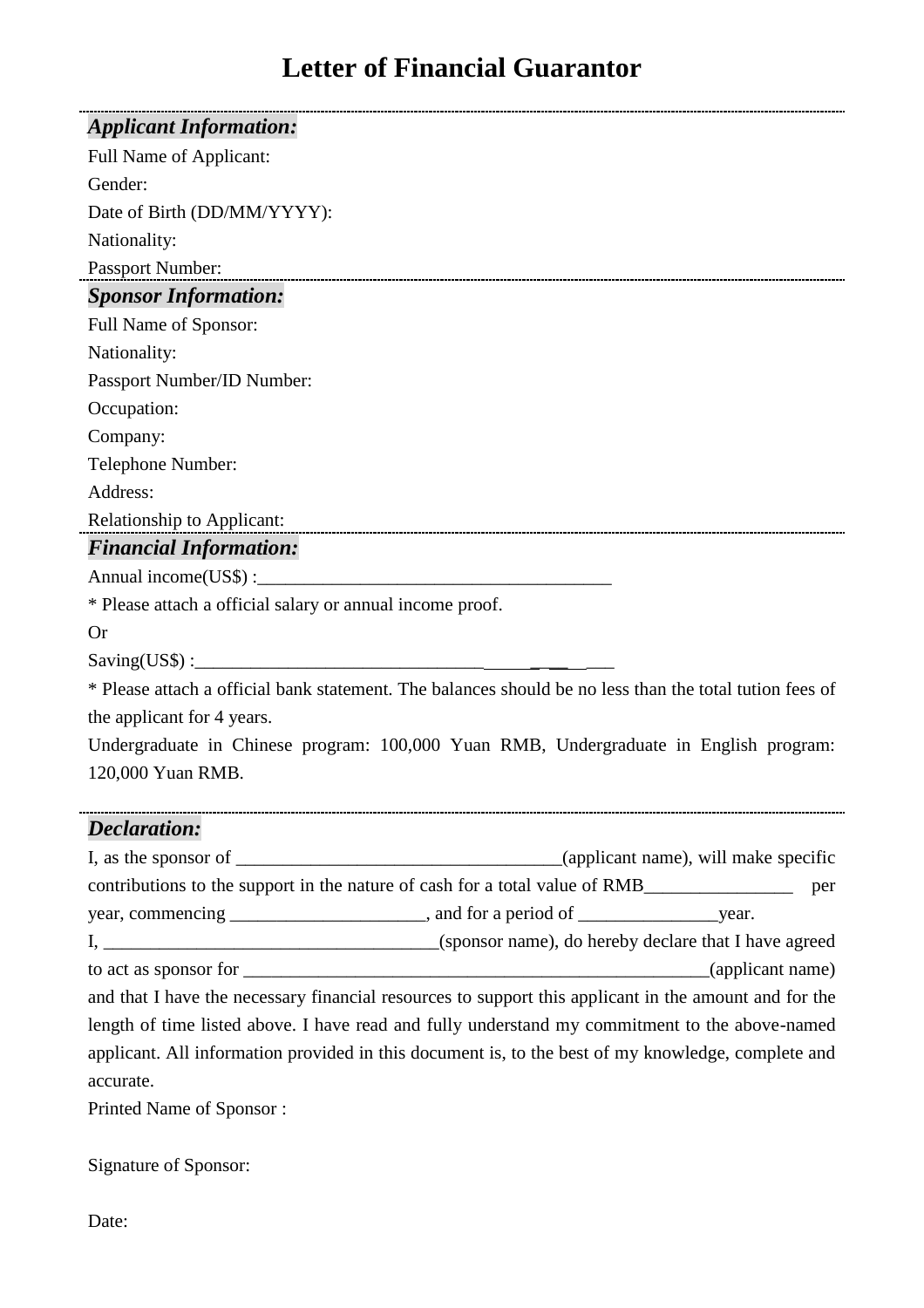# **Letter of Financial Guarantor**

| <b>Applicant Information:</b>                                                                                                                                                                                                    |  |  |
|----------------------------------------------------------------------------------------------------------------------------------------------------------------------------------------------------------------------------------|--|--|
| Full Name of Applicant:                                                                                                                                                                                                          |  |  |
| Gender:                                                                                                                                                                                                                          |  |  |
| Date of Birth (DD/MM/YYYY):                                                                                                                                                                                                      |  |  |
| Nationality:                                                                                                                                                                                                                     |  |  |
| Passport Number:                                                                                                                                                                                                                 |  |  |
| <b>Sponsor Information:</b>                                                                                                                                                                                                      |  |  |
| Full Name of Sponsor:                                                                                                                                                                                                            |  |  |
| Nationality:                                                                                                                                                                                                                     |  |  |
| Passport Number/ID Number:                                                                                                                                                                                                       |  |  |
| Occupation:                                                                                                                                                                                                                      |  |  |
| Company:                                                                                                                                                                                                                         |  |  |
| Telephone Number:                                                                                                                                                                                                                |  |  |
| Address:                                                                                                                                                                                                                         |  |  |
| Relationship to Applicant:<br>The Contract of Applicant Contract of Applicant Contract of Applicant Contract of Applicant Contract of Applicant Contract Of Applicant Contract Of Applicant Contract Of Applicant Contract Of Ap |  |  |
| <b>Financial Information:</b>                                                                                                                                                                                                    |  |  |
|                                                                                                                                                                                                                                  |  |  |
| * Please attach a official salary or annual income proof.                                                                                                                                                                        |  |  |
| <b>Or</b>                                                                                                                                                                                                                        |  |  |
| Saving(USS):                                                                                                                                                                                                                     |  |  |
| * Please attach a official bank statement. The balances should be no less than the total tution fees of                                                                                                                          |  |  |
| the applicant for 4 years.                                                                                                                                                                                                       |  |  |
| Undergraduate in Chinese program: 100,000 Yuan RMB, Undergraduate in English program:                                                                                                                                            |  |  |
| 120,000 Yuan RMB.                                                                                                                                                                                                                |  |  |
|                                                                                                                                                                                                                                  |  |  |

## *Declaration:*

| contributions to the support in the nature of cash for a total value of RMB                           |  | per |  |
|-------------------------------------------------------------------------------------------------------|--|-----|--|
|                                                                                                       |  |     |  |
|                                                                                                       |  |     |  |
|                                                                                                       |  |     |  |
| and that I have the necessary financial resources to support this applicant in the amount and for the |  |     |  |
| length of time listed above. I have read and fully understand my commitment to the above-named        |  |     |  |
| applicant. All information provided in this document is, to the best of my knowledge, complete and    |  |     |  |
| accurate.                                                                                             |  |     |  |
| Drinted Name of $C_{noncon}$                                                                          |  |     |  |

Printed Name of Sponsor :

Signature of Sponsor:

Date: